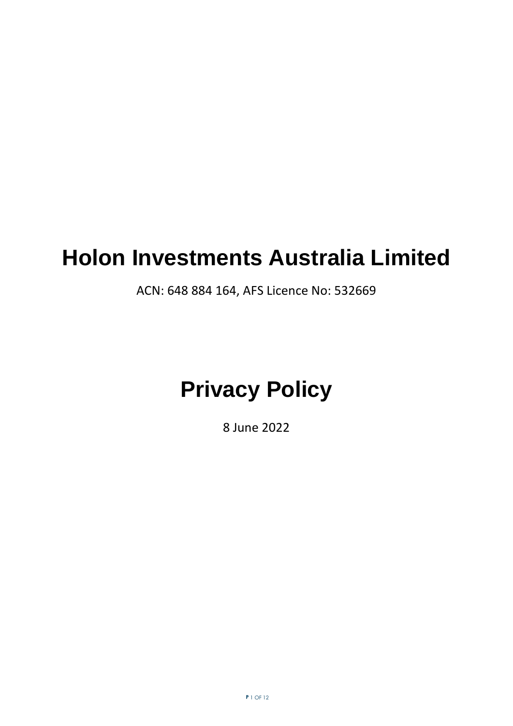## **Holon Investments Australia Limited**

ACN: 648 884 164, AFS Licence No: 532669

# **Privacy Policy**

8 June 2022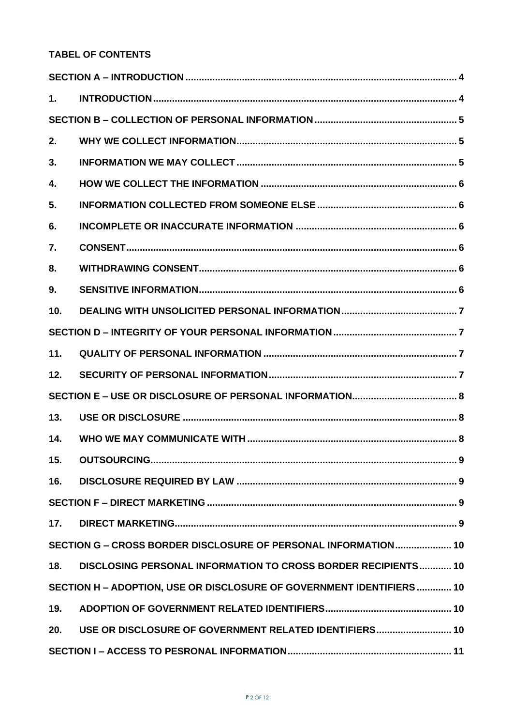### **TABEL OF CONTENTS**

| 1.                        |                                                                       |  |  |  |
|---------------------------|-----------------------------------------------------------------------|--|--|--|
|                           |                                                                       |  |  |  |
| 2.                        |                                                                       |  |  |  |
| 3.                        |                                                                       |  |  |  |
| $\overline{\mathbf{4}}$ . |                                                                       |  |  |  |
| 5.                        |                                                                       |  |  |  |
| 6.                        |                                                                       |  |  |  |
| $\overline{7}$ .          |                                                                       |  |  |  |
| 8.                        |                                                                       |  |  |  |
| 9.                        |                                                                       |  |  |  |
| 10.                       |                                                                       |  |  |  |
|                           |                                                                       |  |  |  |
| 11.                       |                                                                       |  |  |  |
| 12.                       |                                                                       |  |  |  |
|                           |                                                                       |  |  |  |
| 13.                       |                                                                       |  |  |  |
| 14.                       |                                                                       |  |  |  |
|                           |                                                                       |  |  |  |
| 16.                       |                                                                       |  |  |  |
|                           |                                                                       |  |  |  |
| 17.                       |                                                                       |  |  |  |
|                           | SECTION G - CROSS BORDER DISCLOSURE OF PERSONAL INFORMATION 10        |  |  |  |
| 18.                       | DISCLOSING PERSONAL INFORMATION TO CROSS BORDER RECIPIENTS 10         |  |  |  |
|                           | SECTION H - ADOPTION, USE OR DISCLOSURE OF GOVERNMENT IDENTIFIERS  10 |  |  |  |
| 19.                       |                                                                       |  |  |  |
| 20.                       | USE OR DISCLOSURE OF GOVERNMENT RELATED IDENTIFIERS 10                |  |  |  |
|                           |                                                                       |  |  |  |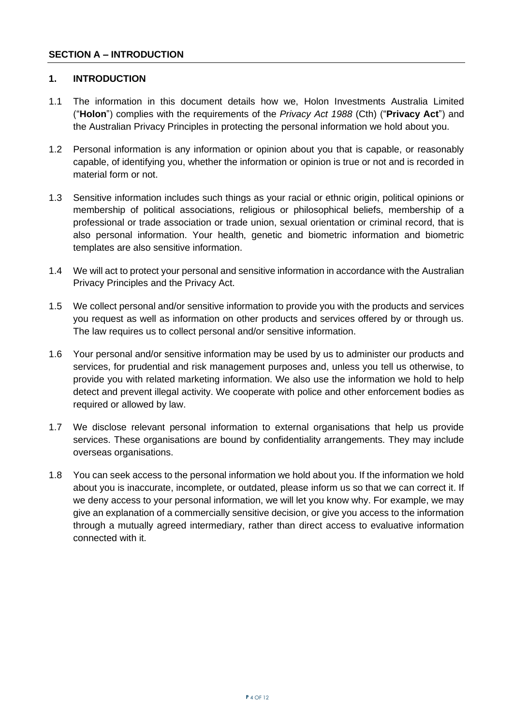#### <span id="page-3-1"></span><span id="page-3-0"></span>**1. INTRODUCTION**

- 1.1 The information in this document details how we, Holon Investments Australia Limited ("**Holon**") complies with the requirements of the *Privacy Act 1988* (Cth) ("**Privacy Act**") and the Australian Privacy Principles in protecting the personal information we hold about you.
- 1.2 Personal information is any information or opinion about you that is capable, or reasonably capable, of identifying you, whether the information or opinion is true or not and is recorded in material form or not.
- 1.3 Sensitive information includes such things as your racial or ethnic origin, political opinions or membership of political associations, religious or philosophical beliefs, membership of a professional or trade association or trade union, sexual orientation or criminal record, that is also personal information. Your health, genetic and biometric information and biometric templates are also sensitive information.
- 1.4 We will act to protect your personal and sensitive information in accordance with the Australian Privacy Principles and the Privacy Act.
- 1.5 We collect personal and/or sensitive information to provide you with the products and services you request as well as information on other products and services offered by or through us. The law requires us to collect personal and/or sensitive information.
- 1.6 Your personal and/or sensitive information may be used by us to administer our products and services, for prudential and risk management purposes and, unless you tell us otherwise, to provide you with related marketing information. We also use the information we hold to help detect and prevent illegal activity. We cooperate with police and other enforcement bodies as required or allowed by law.
- 1.7 We disclose relevant personal information to external organisations that help us provide services. These organisations are bound by confidentiality arrangements. They may include overseas organisations.
- 1.8 You can seek access to the personal information we hold about you. If the information we hold about you is inaccurate, incomplete, or outdated, please inform us so that we can correct it. If we deny access to your personal information, we will let you know why. For example, we may give an explanation of a commercially sensitive decision, or give you access to the information through a mutually agreed intermediary, rather than direct access to evaluative information connected with it.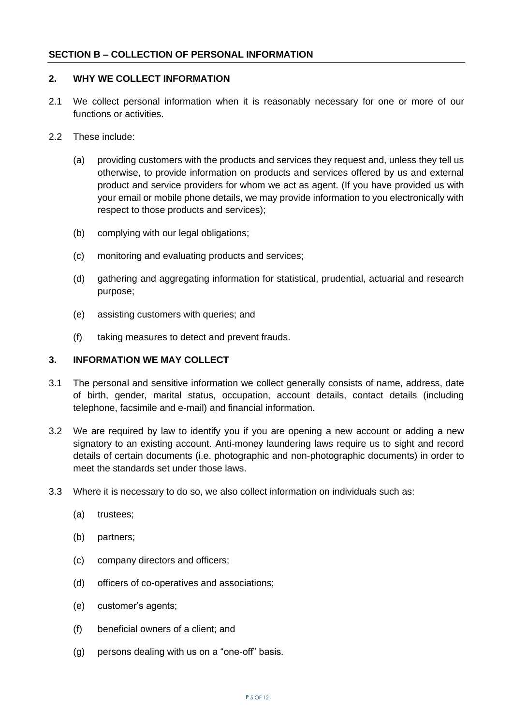#### <span id="page-4-1"></span><span id="page-4-0"></span>**2. WHY WE COLLECT INFORMATION**

- 2.1 We collect personal information when it is reasonably necessary for one or more of our functions or activities.
- 2.2 These include:
	- (a) providing customers with the products and services they request and, unless they tell us otherwise, to provide information on products and services offered by us and external product and service providers for whom we act as agent. (If you have provided us with your email or mobile phone details, we may provide information to you electronically with respect to those products and services);
	- (b) complying with our legal obligations:
	- (c) monitoring and evaluating products and services;
	- (d) gathering and aggregating information for statistical, prudential, actuarial and research purpose;
	- (e) assisting customers with queries; and
	- (f) taking measures to detect and prevent frauds.

#### <span id="page-4-2"></span>**3. INFORMATION WE MAY COLLECT**

- 3.1 The personal and sensitive information we collect generally consists of name, address, date of birth, gender, marital status, occupation, account details, contact details (including telephone, facsimile and e-mail) and financial information.
- 3.2 We are required by law to identify you if you are opening a new account or adding a new signatory to an existing account. Anti-money laundering laws require us to sight and record details of certain documents (i.e. photographic and non-photographic documents) in order to meet the standards set under those laws.
- 3.3 Where it is necessary to do so, we also collect information on individuals such as:
	- (a) trustees;
	- (b) partners;
	- (c) company directors and officers;
	- (d) officers of co-operatives and associations;
	- (e) customer's agents;
	- (f) beneficial owners of a client; and
	- (g) persons dealing with us on a "one-off" basis.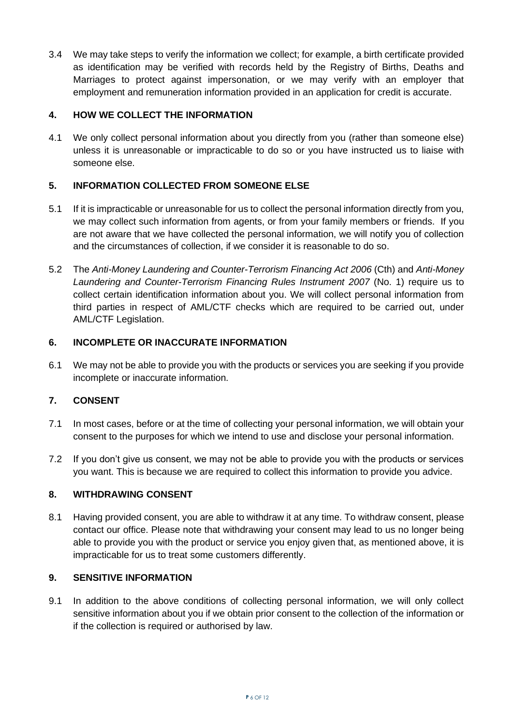3.4 We may take steps to verify the information we collect; for example, a birth certificate provided as identification may be verified with records held by the Registry of Births, Deaths and Marriages to protect against impersonation, or we may verify with an employer that employment and remuneration information provided in an application for credit is accurate.

#### <span id="page-5-0"></span>**4. HOW WE COLLECT THE INFORMATION**

4.1 We only collect personal information about you directly from you (rather than someone else) unless it is unreasonable or impracticable to do so or you have instructed us to liaise with someone else.

#### <span id="page-5-1"></span>**5. INFORMATION COLLECTED FROM SOMEONE ELSE**

- 5.1 If it is impracticable or unreasonable for us to collect the personal information directly from you, we may collect such information from agents, or from your family members or friends. If you are not aware that we have collected the personal information, we will notify you of collection and the circumstances of collection, if we consider it is reasonable to do so.
- 5.2 The *Anti-Money Laundering and Counter-Terrorism Financing Act 2006* (Cth) and *Anti-Money Laundering and Counter-Terrorism Financing Rules Instrument 2007* (No. 1) require us to collect certain identification information about you. We will collect personal information from third parties in respect of AML/CTF checks which are required to be carried out, under AML/CTF Legislation.

#### <span id="page-5-2"></span>**6. INCOMPLETE OR INACCURATE INFORMATION**

6.1 We may not be able to provide you with the products or services you are seeking if you provide incomplete or inaccurate information.

#### <span id="page-5-3"></span>**7. CONSENT**

- 7.1 In most cases, before or at the time of collecting your personal information, we will obtain your consent to the purposes for which we intend to use and disclose your personal information.
- 7.2 If you don't give us consent, we may not be able to provide you with the products or services you want. This is because we are required to collect this information to provide you advice.

#### <span id="page-5-4"></span>**8. WITHDRAWING CONSENT**

8.1 Having provided consent, you are able to withdraw it at any time. To withdraw consent, please contact our office. Please note that withdrawing your consent may lead to us no longer being able to provide you with the product or service you enjoy given that, as mentioned above, it is impracticable for us to treat some customers differently.

#### <span id="page-5-5"></span>**9. SENSITIVE INFORMATION**

9.1 In addition to the above conditions of collecting personal information, we will only collect sensitive information about you if we obtain prior consent to the collection of the information or if the collection is required or authorised by law.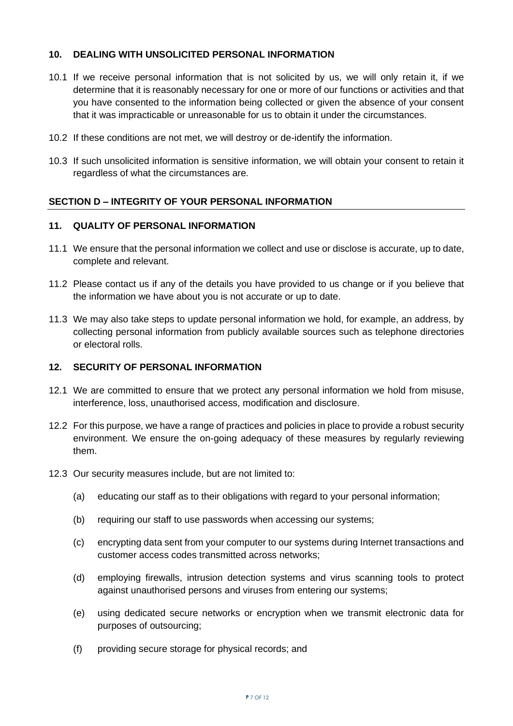#### <span id="page-6-0"></span>**10. DEALING WITH UNSOLICITED PERSONAL INFORMATION**

- 10.1 If we receive personal information that is not solicited by us, we will only retain it, if we determine that it is reasonably necessary for one or more of our functions or activities and that you have consented to the information being collected or given the absence of your consent that it was impracticable or unreasonable for us to obtain it under the circumstances.
- 10.2 If these conditions are not met, we will destroy or de-identify the information.
- 10.3 If such unsolicited information is sensitive information, we will obtain your consent to retain it regardless of what the circumstances are.

#### <span id="page-6-1"></span>**SECTION D – INTEGRITY OF YOUR PERSONAL INFORMATION**

#### <span id="page-6-2"></span>**11. QUALITY OF PERSONAL INFORMATION**

- 11.1 We ensure that the personal information we collect and use or disclose is accurate, up to date, complete and relevant.
- 11.2 Please contact us if any of the details you have provided to us change or if you believe that the information we have about you is not accurate or up to date.
- 11.3 We may also take steps to update personal information we hold, for example, an address, by collecting personal information from publicly available sources such as telephone directories or electoral rolls.

#### <span id="page-6-3"></span>**12. SECURITY OF PERSONAL INFORMATION**

- 12.1 We are committed to ensure that we protect any personal information we hold from misuse, interference, loss, unauthorised access, modification and disclosure.
- 12.2 For this purpose, we have a range of practices and policies in place to provide a robust security environment. We ensure the on-going adequacy of these measures by regularly reviewing them.
- 12.3 Our security measures include, but are not limited to:
	- (a) educating our staff as to their obligations with regard to your personal information;
	- (b) requiring our staff to use passwords when accessing our systems;
	- (c) encrypting data sent from your computer to our systems during Internet transactions and customer access codes transmitted across networks;
	- (d) employing firewalls, intrusion detection systems and virus scanning tools to protect against unauthorised persons and viruses from entering our systems;
	- (e) using dedicated secure networks or encryption when we transmit electronic data for purposes of outsourcing;
	- (f) providing secure storage for physical records; and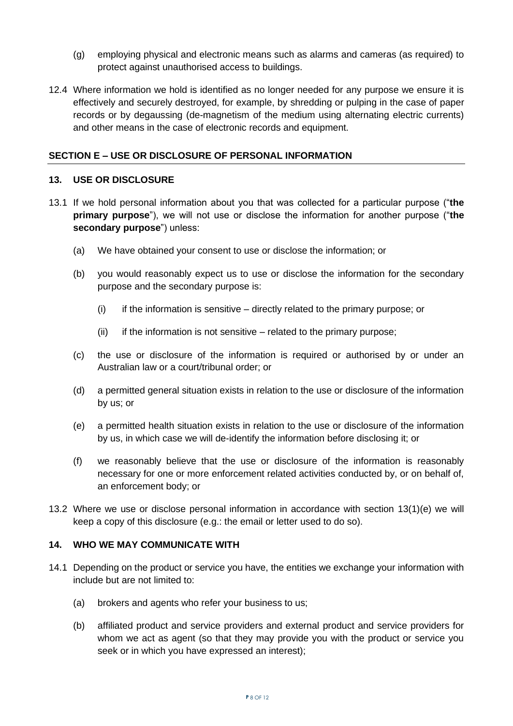- (g) employing physical and electronic means such as alarms and cameras (as required) to protect against unauthorised access to buildings.
- 12.4 Where information we hold is identified as no longer needed for any purpose we ensure it is effectively and securely destroyed, for example, by shredding or pulping in the case of paper records or by degaussing (de-magnetism of the medium using alternating electric currents) and other means in the case of electronic records and equipment.

#### <span id="page-7-0"></span>**SECTION E – USE OR DISCLOSURE OF PERSONAL INFORMATION**

#### <span id="page-7-1"></span>**13. USE OR DISCLOSURE**

- 13.1 If we hold personal information about you that was collected for a particular purpose ("**the primary purpose**"), we will not use or disclose the information for another purpose ("**the secondary purpose**") unless:
	- (a) We have obtained your consent to use or disclose the information; or
	- (b) you would reasonably expect us to use or disclose the information for the secondary purpose and the secondary purpose is:
		- $(i)$  if the information is sensitive directly related to the primary purpose; or
		- (ii) if the information is not sensitive  $-$  related to the primary purpose;
	- (c) the use or disclosure of the information is required or authorised by or under an Australian law or a court/tribunal order; or
	- (d) a permitted general situation exists in relation to the use or disclosure of the information by us; or
	- (e) a permitted health situation exists in relation to the use or disclosure of the information by us, in which case we will de-identify the information before disclosing it; or
	- (f) we reasonably believe that the use or disclosure of the information is reasonably necessary for one or more enforcement related activities conducted by, or on behalf of, an enforcement body; or
- 13.2 Where we use or disclose personal information in accordance with section 13(1)(e) we will keep a copy of this disclosure (e.g.: the email or letter used to do so).

#### <span id="page-7-2"></span>**14. WHO WE MAY COMMUNICATE WITH**

- 14.1 Depending on the product or service you have, the entities we exchange your information with include but are not limited to:
	- (a) brokers and agents who refer your business to us;
	- (b) affiliated product and service providers and external product and service providers for whom we act as agent (so that they may provide you with the product or service you seek or in which you have expressed an interest);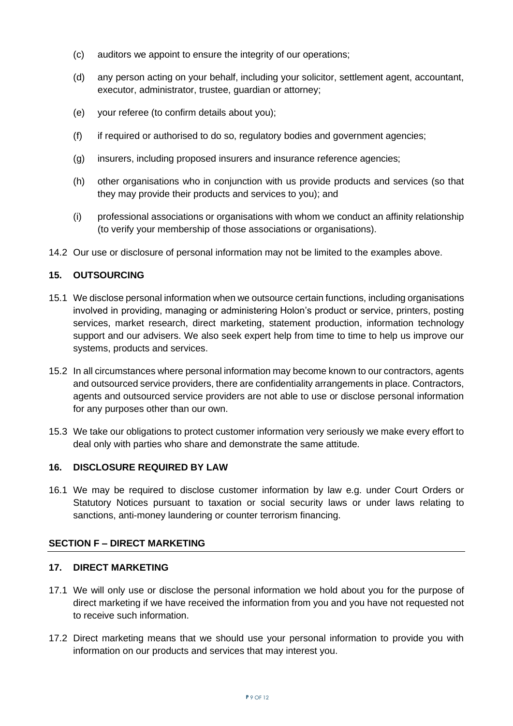- (c) auditors we appoint to ensure the integrity of our operations;
- (d) any person acting on your behalf, including your solicitor, settlement agent, accountant, executor, administrator, trustee, guardian or attorney;
- (e) your referee (to confirm details about you);
- (f) if required or authorised to do so, regulatory bodies and government agencies;
- (g) insurers, including proposed insurers and insurance reference agencies;
- (h) other organisations who in conjunction with us provide products and services (so that they may provide their products and services to you); and
- (i) professional associations or organisations with whom we conduct an affinity relationship (to verify your membership of those associations or organisations).
- 14.2 Our use or disclosure of personal information may not be limited to the examples above.

#### <span id="page-8-0"></span>**15. OUTSOURCING**

- 15.1 We disclose personal information when we outsource certain functions, including organisations involved in providing, managing or administering Holon's product or service, printers, posting services, market research, direct marketing, statement production, information technology support and our advisers. We also seek expert help from time to time to help us improve our systems, products and services.
- 15.2 In all circumstances where personal information may become known to our contractors, agents and outsourced service providers, there are confidentiality arrangements in place. Contractors, agents and outsourced service providers are not able to use or disclose personal information for any purposes other than our own.
- 15.3 We take our obligations to protect customer information very seriously we make every effort to deal only with parties who share and demonstrate the same attitude.

#### <span id="page-8-1"></span>**16. DISCLOSURE REQUIRED BY LAW**

16.1 We may be required to disclose customer information by law e.g. under Court Orders or Statutory Notices pursuant to taxation or social security laws or under laws relating to sanctions, anti-money laundering or counter terrorism financing.

#### <span id="page-8-2"></span>**SECTION F – DIRECT MARKETING**

#### <span id="page-8-3"></span>**17. DIRECT MARKETING**

- 17.1 We will only use or disclose the personal information we hold about you for the purpose of direct marketing if we have received the information from you and you have not requested not to receive such information.
- 17.2 Direct marketing means that we should use your personal information to provide you with information on our products and services that may interest you.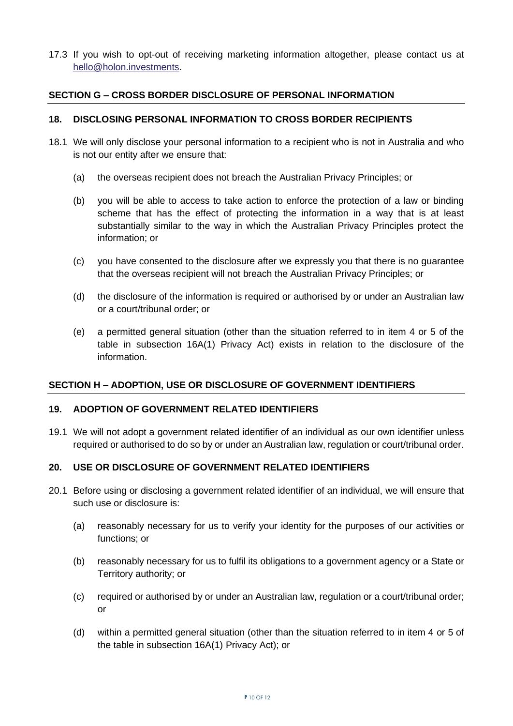17.3 If you wish to opt-out of receiving marketing information altogether, please contact us at [hello@holon.investments.](mailto:hello@holon.investments)

#### <span id="page-9-0"></span>**SECTION G – CROSS BORDER DISCLOSURE OF PERSONAL INFORMATION**

#### <span id="page-9-1"></span>**18. DISCLOSING PERSONAL INFORMATION TO CROSS BORDER RECIPIENTS**

- 18.1 We will only disclose your personal information to a recipient who is not in Australia and who is not our entity after we ensure that:
	- (a) the overseas recipient does not breach the Australian Privacy Principles; or
	- (b) you will be able to access to take action to enforce the protection of a law or binding scheme that has the effect of protecting the information in a way that is at least substantially similar to the way in which the Australian Privacy Principles protect the information; or
	- (c) you have consented to the disclosure after we expressly you that there is no guarantee that the overseas recipient will not breach the Australian Privacy Principles; or
	- (d) the disclosure of the information is required or authorised by or under an Australian law or a court/tribunal order; or
	- (e) a permitted general situation (other than the situation referred to in item 4 or 5 of the table in subsection 16A(1) Privacy Act) exists in relation to the disclosure of the information.

#### <span id="page-9-2"></span>**SECTION H – ADOPTION, USE OR DISCLOSURE OF GOVERNMENT IDENTIFIERS**

#### <span id="page-9-3"></span>**19. ADOPTION OF GOVERNMENT RELATED IDENTIFIERS**

19.1 We will not adopt a government related identifier of an individual as our own identifier unless required or authorised to do so by or under an Australian law, regulation or court/tribunal order.

#### <span id="page-9-4"></span>**20. USE OR DISCLOSURE OF GOVERNMENT RELATED IDENTIFIERS**

- 20.1 Before using or disclosing a government related identifier of an individual, we will ensure that such use or disclosure is:
	- (a) reasonably necessary for us to verify your identity for the purposes of our activities or functions; or
	- (b) reasonably necessary for us to fulfil its obligations to a government agency or a State or Territory authority; or
	- (c) required or authorised by or under an Australian law, regulation or a court/tribunal order; or
	- (d) within a permitted general situation (other than the situation referred to in item 4 or 5 of the table in subsection 16A(1) Privacy Act); or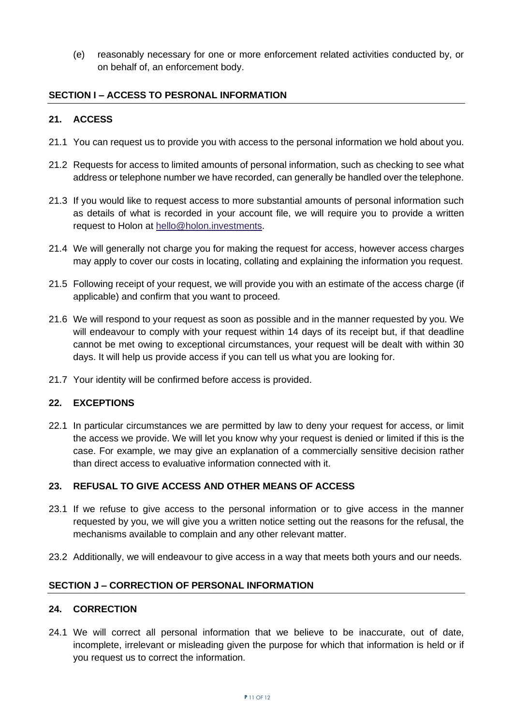(e) reasonably necessary for one or more enforcement related activities conducted by, or on behalf of, an enforcement body.

#### <span id="page-10-0"></span>**SECTION I – ACCESS TO PESRONAL INFORMATION**

#### <span id="page-10-1"></span>**21. ACCESS**

- 21.1 You can request us to provide you with access to the personal information we hold about you.
- 21.2 Requests for access to limited amounts of personal information, such as checking to see what address or telephone number we have recorded, can generally be handled over the telephone.
- 21.3 If you would like to request access to more substantial amounts of personal information such as details of what is recorded in your account file, we will require you to provide a written request to Holon at [hello@holon.investments.](mailto:hello@holon.investments)
- 21.4 We will generally not charge you for making the request for access, however access charges may apply to cover our costs in locating, collating and explaining the information you request.
- 21.5 Following receipt of your request, we will provide you with an estimate of the access charge (if applicable) and confirm that you want to proceed.
- 21.6 We will respond to your request as soon as possible and in the manner requested by you. We will endeavour to comply with your request within 14 days of its receipt but, if that deadline cannot be met owing to exceptional circumstances, your request will be dealt with within 30 days. It will help us provide access if you can tell us what you are looking for.
- 21.7 Your identity will be confirmed before access is provided.

#### <span id="page-10-2"></span>**22. EXCEPTIONS**

22.1 In particular circumstances we are permitted by law to deny your request for access, or limit the access we provide. We will let you know why your request is denied or limited if this is the case. For example, we may give an explanation of a commercially sensitive decision rather than direct access to evaluative information connected with it.

#### <span id="page-10-3"></span>**23. REFUSAL TO GIVE ACCESS AND OTHER MEANS OF ACCESS**

- 23.1 If we refuse to give access to the personal information or to give access in the manner requested by you, we will give you a written notice setting out the reasons for the refusal, the mechanisms available to complain and any other relevant matter.
- <span id="page-10-4"></span>23.2 Additionally, we will endeavour to give access in a way that meets both yours and our needs.

#### **SECTION J – CORRECTION OF PERSONAL INFORMATION**

#### <span id="page-10-5"></span>**24. CORRECTION**

24.1 We will correct all personal information that we believe to be inaccurate, out of date, incomplete, irrelevant or misleading given the purpose for which that information is held or if you request us to correct the information.